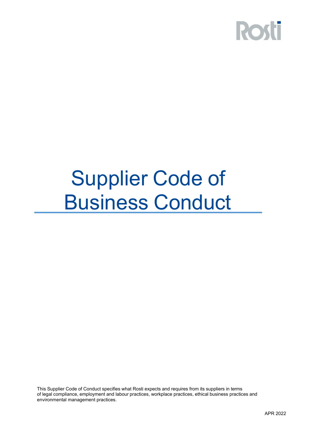

### Supplier Code of Business Conduct

This Supplier Code of Conduct specifies what Rosti expects and requires from its suppliers in terms of legal compliance, employment and labour practices, workplace practices, ethical business practices and environmental management practices.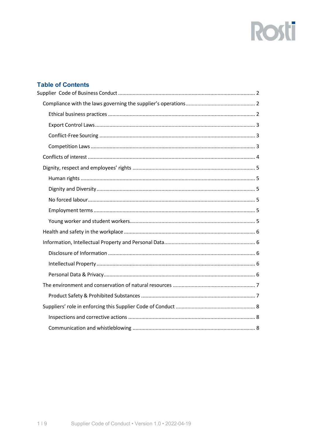## **Rosti**

### **Table of Contents**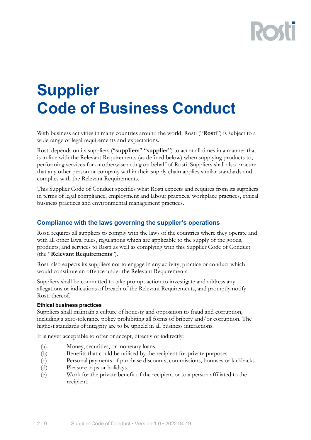### <span id="page-2-0"></span>**Supplier Code of Business Conduct**

With business activities in many countries around the world, Rosti ("**Rosti**") is subject to a wide range of legal requirements and expectations.

Rosti depends on its suppliers ("**suppliers**" "**supplier**") to act at all times in a manner that is in line with the Relevant Requirements (as defined below) when supplying products to, performing services for or otherwise acting on behalf of Rosti. Suppliers shall also procure that any other person or company within their supply chain applies similar standards and complies with the Relevant Requirements.

This Supplier Code of Conduct specifies what Rosti expects and requires from its suppliers in terms of legal compliance, employment and labour practices, workplace practices, ethical business practices and environmental management practices.

#### <span id="page-2-1"></span>**Compliance with the laws governing the supplier's operations**

Rosti requires all suppliers to comply with the laws of the countries where they operate and with all other laws, rules, regulations which are applicable to the supply of the goods, products, and services to Rosti as well as complying with this Supplier Code of Conduct (the "**Relevant Requirements**").

Rosti also expects its suppliers not to engage in any activity, practice or conduct which would constitute an offence under the Relevant Requirements.

Suppliers shall be committed to take prompt action to investigate and address any allegations or indications of breach of the Relevant Requirements, and promptly notify Rosti thereof.

#### <span id="page-2-2"></span>**Ethical business practices**

Suppliers shall maintain a culture of honesty and opposition to fraud and corruption, including a zero-tolerance policy prohibiting all forms of bribery and/or corruption. The highest standards of integrity are to be upheld in all business interactions.

It is never acceptable to offer or accept, directly or indirectly:

- (a) Money, securities, or monetary loans.
- (b) Benefits that could be utilised by the recipient for private purposes.
- (c) Personal payments of purchase discounts, commissions, bonuses or kickbacks.
- (d) Pleasure trips or holidays.
- (e) Work for the private benefit of the recipient or to a person affiliated to the recipient.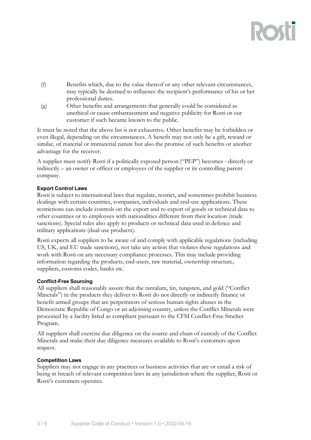- (f) Benefits which, due to the value thereof or any other relevant circumstances, may typically be deemed to influence the recipient's performance of his or her professional duties.
- (g) Other benefits and arrangements that generally could be considered as unethical or cause embarrassment and negative publicity for Rosti or our customer if such became known to the public.

It must be noted that the above list is not exhaustive. Other benefits may be forbidden or even illegal, depending on the circumstances. A benefit may not only be a gift, reward or similar, of material or immaterial nature but also the promise of such benefits or another advantage for the receiver.

A supplier must notify Rosti if a politically exposed person ("PEP") becomes - directly or indirectly – an owner or officer or employees of the supplier or its controlling parent company.

#### <span id="page-3-0"></span>**Export Control Laws**

Rosti is subject to international laws that regulate, restrict, and sometimes prohibit business dealings with certain countries, companies, individuals and end-use applications. These restrictions can include controls on the export and re-export of goods or technical data to other countries or to employees with nationalities different from their location (trade sanctions). Special rules also apply to products or technical data used in defence and military applications (dual-use products).

Rosti expects all suppliers to be aware of and comply with applicable regulations (including US, UK, and EU trade sanctions), not take any action that violates these regulations and work with Rosti on any necessary compliance processes. This may include providing information regarding the products, end-users, raw material, ownership structure, suppliers, customs codes, banks etc.

#### <span id="page-3-1"></span>**Conflict-Free Sourcing**

All suppliers shall reasonably assure that the tantalum, tin, tungsten, and gold ("Conflict Minerals") in the products they deliver to Rosti do not directly or indirectly finance or benefit armed groups that are perpetrators of serious human rights abuses in the Democratic Republic of Congo or an adjoining country, unless the Conflict Minerals were processed by a facility listed as compliant pursuant to the CFSI Conflict-Free Smelter Program.

All suppliers shall exercise due diligence on the source and chain of custody of the Conflict Minerals and make their due diligence measures available to Rosti's customers upon request.

#### <span id="page-3-2"></span>**Competition Laws**

Suppliers may not engage in any practices or business activities that are or entail a risk of being in breach of relevant competition laws in any jurisdiction where the supplier, Rosti or Rosti's customers operates.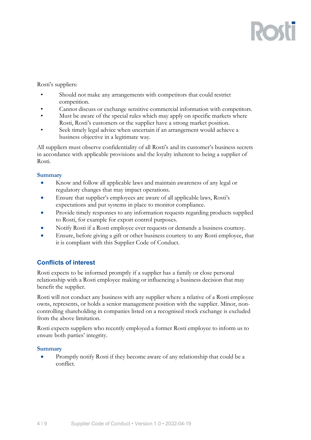# **ROST**

Rosti's suppliers:

- Should not make any arrangements with competitors that could restrict competition.
- Cannot discuss or exchange sensitive commercial information with competitors.
- Must be aware of the special rules which may apply on specific markets where Rosti, Rosti's customers or the supplier have a strong market position.
- Seek timely legal advice when uncertain if an arrangement would achieve a business objective in a legitimate way.

All suppliers must observe confidentiality of all Rosti's and its customer's business secrets in accordance with applicable provisions and the loyalty inherent to being a supplier of Rosti.

#### **Summary**

- Know and follow all applicable laws and maintain awareness of any legal or regulatory changes that may impact operations.
- Ensure that supplier's employees are aware of all applicable laws, Rosti's expectations and put systems in place to monitor compliance.
- Provide timely responses to any information requests regarding products supplied to Rosti, for example for export control purposes.
- Notify Rosti if a Rosti employee ever requests or demands a business courtesy.
- Ensure, before giving a gift or other business courtesy to any Rosti employee, that it is compliant with this Supplier Code of Conduct.

### <span id="page-4-0"></span>**Conflicts of interest**

Rosti expects to be informed promptly if a supplier has a family or close personal relationship with a Rosti employee making or influencing a business decision that may benefit the supplier.

Rosti will not conduct any business with any supplier where a relative of a Rosti employee owns, represents, or holds a senior management position with the supplier. Minor, noncontrolling shareholding in companies listed on a recognised stock exchange is excluded from the above limitation.

Rosti expects suppliers who recently employed a former Rosti employee to inform us to ensure both parties' integrity.

#### **Summary**

• Promptly notify Rosti if they become aware of any relationship that could be a conflict.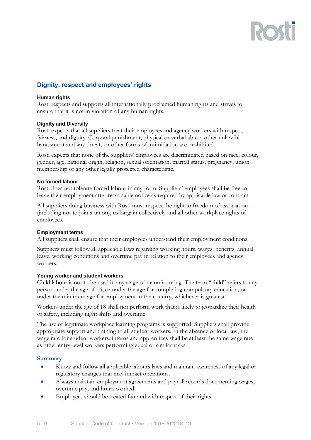# **ROS**

### <span id="page-5-0"></span>**Dignity, respect and employees' rights**

#### <span id="page-5-1"></span>**Human rights**

Rosti respects and supports all internationally proclaimed human rights and strives to ensure that it is not in violation of any human rights.

#### <span id="page-5-2"></span>**Dignity and Diversity**

Rosti expects that all suppliers treat their employees and agency workers with respect, fairness, and dignity. Corporal punishment, physical or verbal abuse, other unlawful harassment and any threats or other forms of intimidation are prohibited.

Rosti expects that none of the suppliers' employees are discriminated based on race, colour, gender, age, national origin, religion, sexual orientation, marital status, pregnancy, union membership or any other legally protected characteristic.

#### <span id="page-5-3"></span>**No forced labour**

Rosti does not tolerate forced labour in any form. Suppliers' employees shall be free to leave their employment after reasonable notice as required by applicable law or contract.

All suppliers doing business with Rosti must respect the right to freedom of association (including not to join a union), to bargain collectively and all other workplace rights of employees.

#### <span id="page-5-4"></span>**Employment terms**

All suppliers shall ensure that their employees understand their employment conditions.

Suppliers must follow all applicable laws regarding working hours, wages, benefits, annual leave, working conditions and overtime pay in relation to their employees and agency workers.

#### <span id="page-5-5"></span>**Young worker and student workers**

Child labour is not to be used in any stage of manufacturing. The term "child" refers to any person under the age of 16, or under the age for completing compulsory education, or under the minimum age for employment in the country, whichever is greatest.

Workers under the age of 18 shall not perform work that is likely to jeopardize their health or safety, including night shifts and overtime.

The use of legitimate workplace learning programs is supported. Suppliers shall provide appropriate support and training to all student workers. In the absence of local law, the wage rate for student workers, interns and apprentices shall be at least the same wage rate as other entry-level workers performing equal or similar tasks.

#### **Summary**

- Know and follow all applicable labours laws and maintain awareness of any legal or regulatory changes that may impact operations.
- Always maintain employment agreements and payroll records documenting wages, overtime pay, and hours worked.
- Employees should be treated fair and with respect of their rights.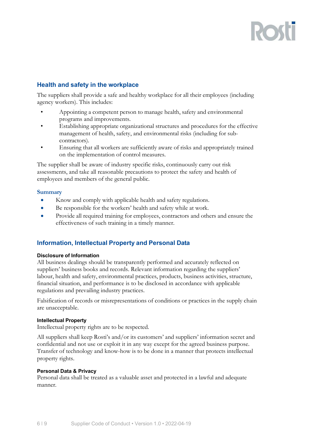### <span id="page-6-0"></span>**Health and safety in the workplace**

The suppliers shall provide a safe and healthy workplace for all their employees (including agency workers). This includes:

- Appointing a competent person to manage health, safety and environmental programs and improvements.
- Establishing appropriate organizational structures and procedures for the effective management of health, safety, and environmental risks (including for subcontractors).
- Ensuring that all workers are sufficiently aware of risks and appropriately trained on the implementation of control measures.

The supplier shall be aware of industry specific risks, continuously carry out risk assessments, and take all reasonable precautions to protect the safety and health of employees and members of the general public.

#### **Summary**

- Know and comply with applicable health and safety regulations.
- Be responsible for the workers' health and safety while at work.
- Provide all required training for employees, contractors and others and ensure the effectiveness of such training in a timely manner.

#### <span id="page-6-1"></span>**Information, Intellectual Property and Personal Data**

#### <span id="page-6-2"></span>**Disclosure of Information**

All business dealings should be transparently performed and accurately reflected on suppliers' business books and records. Relevant information regarding the suppliers' labour, health and safety, environmental practices, products, business activities, structure, financial situation, and performance is to be disclosed in accordance with applicable regulations and prevailing industry practices.

Falsification of records or misrepresentations of conditions or practices in the supply chain are unacceptable.

#### <span id="page-6-3"></span>**Intellectual Property**

Intellectual property rights are to be respected.

All suppliers shall keep Rosti's and/or its customers' and suppliers' information secret and confidential and not use or exploit it in any way except for the agreed business purpose. Transfer of technology and know-how is to be done in a manner that protects intellectual property rights.

#### <span id="page-6-4"></span>**Personal Data & Privacy**

Personal data shall be treated as a valuable asset and protected in a lawful and adequate manner.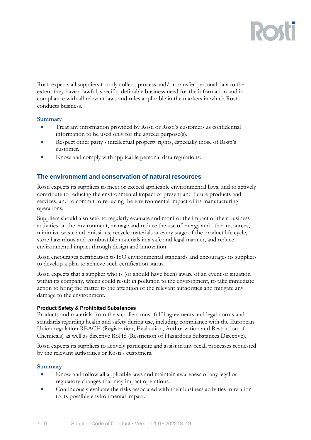Rosti expects all suppliers to only collect, process and/or transfer personal data to the extent they have a lawful, specific, definable business need for the information and in compliance with all relevant laws and rules applicable in the markets in which Rosti conducts business.

#### **Summary**

- Treat any information provided by Rosti or Rosti's customers as confidential information to be used only for the agreed purpose(s).
- Respect other party's intellectual property rights, especially those of Rosti's customer.
- Know and comply with applicable personal data regulations.

#### <span id="page-7-0"></span>**The environment and conservation of natural resources**

Rosti expects its suppliers to meet or exceed applicable environmental laws, and to actively contribute to reducing the environmental impact of present and future products and services, and to commit to reducing the environmental impact of its manufacturing operations.

Suppliers should also seek to regularly evaluate and monitor the impact of their business activities on the environment, manage and reduce the use of energy and other resources, minimize waste and emissions, recycle materials at every stage of the product life cycle, store hazardous and combustible materials in a safe and legal manner, and reduce environmental impact through design and innovation.

Rosti encourages certification to ISO environmental standards and encourages its suppliers to develop a plan to achieve such certification status.

Rosti expects that a supplier who is (or should have been) aware of an event or situation within its company, which could result in pollution to the environment, to take immediate action to bring the matter to the attention of the relevant authorities and mitigate any damage to the environment.

#### <span id="page-7-1"></span>**Product Safety & Prohibited Substances**

Products and materials from the suppliers must fulfil agreements and legal norms and standards regarding health and safety during use, including compliance with the European Union regulation REACH (Registration, Evaluation, Authorization and Restriction of Chemicals) as well as directive RoHS (Restriction of Hazardous Substances Directive).

Rosti expects its suppliers to actively participate and assist in any recall processes requested by the relevant authorities or Rosti's customers.

#### **Summary**

- Know and follow all applicable laws and maintain awareness of any legal or regulatory changes that may impact operations.
- Continuously evaluate the risks associated with their business activities in relation to its possible environmental impact.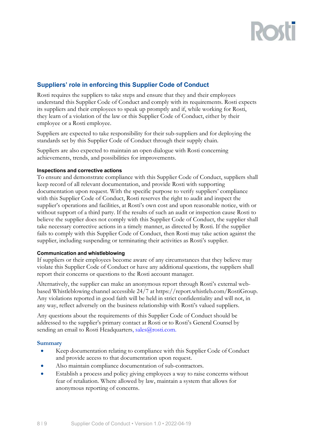# RO

### <span id="page-8-0"></span>**Suppliers' role in enforcing this Supplier Code of Conduct**

Rosti requires the suppliers to take steps and ensure that they and their employees understand this Supplier Code of Conduct and comply with its requirements. Rosti expects its suppliers and their employees to speak up promptly and if, while working for Rosti, they learn of a violation of the law or this Supplier Code of Conduct, either by their employee or a Rosti employee.

Suppliers are expected to take responsibility for their sub-suppliers and for deploying the standards set by this Supplier Code of Conduct through their supply chain.

Suppliers are also expected to maintain an open dialogue with Rosti concerning achievements, trends, and possibilities for improvements.

#### <span id="page-8-1"></span>**Inspections and corrective actions**

To ensure and demonstrate compliance with this Supplier Code of Conduct, suppliers shall keep record of all relevant documentation, and provide Rosti with supporting documentation upon request. With the specific purpose to verify suppliers' compliance with this Supplier Code of Conduct, Rosti reserves the right to audit and inspect the supplier's operations and facilities, at Rosti's own cost and upon reasonable notice, with or without support of a third party. If the results of such an audit or inspection cause Rosti to believe the supplier does not comply with this Supplier Code of Conduct, the supplier shall take necessary corrective actions in a timely manner, as directed by Rosti. If the supplier fails to comply with this Supplier Code of Conduct, then Rosti may take action against the supplier, including suspending or terminating their activities as Rosti's supplier.

#### <span id="page-8-2"></span>**Communication and whistleblowing**

If suppliers or their employees become aware of any circumstances that they believe may violate this Supplier Code of Conduct or have any additional questions, the suppliers shall report their concerns or questions to the Rosti account manager.

Alternatively, the supplier can make an anonymous report through Rosti's external webbased Whistleblowing channel accessible 24/7 at https://report.whistleb.com/RostiGroup. Any violations reported in good faith will be held in strict confidentiality and will not, in any way, reflect adversely on the business relationship with Rosti's valued suppliers.

Any questions about the requirements of this Supplier Code of Conduct should be addressed to the supplier's primary contact at Rosti or to Rosti's General Counsel by sending an email to [Rosti Headquarters, sales@rosti.com.](mailto:Rosti%20Headquarters,%20sales@rosti.com.)

#### **Summary**

- Keep documentation relating to compliance with this Supplier Code of Conduct and provide access to that documentation upon request.
- Also maintain compliance documentation of sub-contractors.
- Establish a process and policy giving employees a way to raise concerns without fear of retaliation. Where allowed by law, maintain a system that allows for anonymous reporting of concerns.